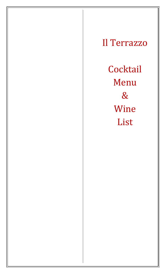# Il Terrazzo

**Cocktail** Menu & Wine List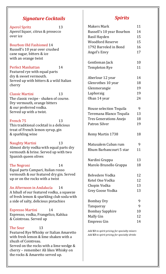# *Signature Cocktails*

Aperol Spritz 13 Aperol liquor, citrus & prosecco over ice

Bourbon Old Fashioned 14 Russell's 10 year over crushed cane sugar, bitters & ice with an orange twist

Perfect Manhattan 14 Featured rye with equal parts dry & sweet vermouth. Served up with bitters & a wild Italian cherry

Classic Martini 13 The classic recipe - shaken of course. Dry vermouth, orange bitters & our preferred vodka. Served up with a twist.

French 75 13 This traditional cocktail is a delicious treat of French lemon syrup, gin & sparkling wine

Naughty Martini 13 Almost dirty vodka with equal parts dry vermouth & brine. Served up with two Spanish queen olives

The Negroni 14 Equal parts Campari, Italian rosso vermouth & our featured dry gin. Served up or on the rocks with a twist

An Afternoon in Andalucía 14 A hiball of our featured vodka, a squeeze of fresh lemon & sparkling club soda with a side of salty, delicious pistachios

Espresso Martini 14 Espresso, vodka, Frangelico, Kahlua & Cointreau. Served up

The Sour 13 Featured Rye Whisky or Italian Amaretto with fresh lemon & lime shaken with a zhuzh of Cointreau. Served on the rocks with a lime wedge & cherry – remember Ali likes Whisky on the rocks & Amaretto served up.

# *Spirits*

| <b>Makers Mark</b>            | 11 |
|-------------------------------|----|
| Russell's 10 year Bourbon     | 14 |
| Basil Hayden                  | 15 |
| <b>Woodford Reserve</b>       | 15 |
| 1792 Barreled in Bond         | 16 |
| Angel's Envy                  | 17 |
| Gentleman Jack                | 10 |
| <b>Templeton Rye</b>          | 11 |
| Aberlour 12 year              | 14 |
| Glenrothes 10 year            | 18 |
| Glenmorangie                  | 19 |
| Laphoraig                     | 19 |
| Oban 14 year                  | 24 |
| House selection Tequila       | 9  |
| Teremana Blanco Tequila       | 13 |
| <b>Tres Generations Anejo</b> | 18 |
| <b>Patron Silver</b>          | 19 |
| <b>Remy Martin 1738</b>       | 18 |
| Matusalem Cuban rum           | 9  |
| Rhum Barbancourt 5 star       | 11 |
| Nardini Grappa                | 13 |
| Marolo Brunello Grappa        | 18 |
| Belvedere Vodka               | 12 |
| Ketel One Vodka               | 12 |
| Chopin Vodka                  | 13 |
| Grey Goose Vodka              | 13 |
| Bombay Dry                    | 9  |
| Tanqueray                     | 9  |
| <b>Bombay Sapphire</b>        | 10 |
| Malfy Gin                     | 12 |
| <b>Empress Gin</b>            | 14 |

*Add \$1 to spirit pricing for specialty mixers Add \$3 to spirit pricing for specialty drinks*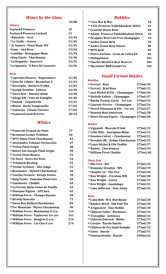# *Wines by the Glass*

**Gl/Btl**

| <b>Whites</b>                                  |       |
|------------------------------------------------|-------|
| <b>Featured Prosecco</b>                       | 10    |
| <b>Featured Prosecco Cocktail</b>              | 13    |
| <sup>1</sup> Batasiolo – Gavi                  | 12/40 |
| <sup>2</sup> Ca' Gialla – Arneis               | 12/40 |
| <sup>3</sup> JC Somers - Pinot Blanc WV        | 13/44 |
| <sup>4</sup> Gonc – Ana Rose                   | 13/44 |
| <sup>5</sup> Lamblin - Bourgogne Blanc         | 13/44 |
| <sup>6</sup> King Estate - Chardonnay          | 14/48 |
| <sup>7</sup> La Boquette - Sancerre            | 15/52 |
| <sup>8</sup> La Spinetta - Il Rose Di Casanova | 16/56 |
|                                                |       |

#### *Reds*

| <sup>9</sup> Copertino Riserva - Negroamaro | 12/40 |
|---------------------------------------------|-------|
| <sup>10</sup> Dom De Colette - Beaujolais V | 13/44 |
| <sup>11</sup> Reverdito - Barbera D'Alba    | 13/44 |
| <sup>12</sup> Joseph Drouhin - Laforet      | 14/48 |
| <sup>13</sup> Owen Roe - Sinister Hand      | 14/48 |
| <sup>14</sup> Adega NW - Vino de Famiglia   | 14/48 |
| <sup>15</sup> Damoli - Valpolicella         | 15/52 |
| <sup>16</sup> Matsu - Recio Tempranillo     | 17/60 |
| <sup>17</sup> Calcinaia - Chianti Classico  | 17/60 |
| <sup>18</sup> Featured Local Reserve        | 18/64 |
|                                             |       |

# *Whites*

| <sup>19</sup> Pomerols Picpoul de Pinet         | 37  |
|-------------------------------------------------|-----|
| <sup>20</sup> Kremstal Gruner Veltliner         | 40  |
| <sup>21</sup> WVV Dijon Clone Chardonnay        | 45  |
| <sup>22</sup> Alessandro Tofanari Vernacchia    | 47  |
| <sup>23</sup> Terlan Pinot Grigio               | 48  |
| <sup>24</sup> Katari San Giorgio Pinot Grigio   | 50  |
| 25 Terlan Pinot Bianco                          | 52  |
| <sup>26</sup> IL Fiore - Serra Dei Fiori        | 54  |
| <sup>27</sup> Trimbach Riesling                 | 55  |
| <sup>28</sup> Terlan Terlaner - Alto Adige      | 55  |
| <sup>29</sup> Resonance - Hyland Chardonnay     | 56  |
| 30 Cascina Fornace - Desaja Arneis              | 58  |
| 31 King Estate - Domaine Pinot Gris             | 58  |
| <sup>32</sup> Gautheron - Chablis               | 64  |
| 33 La Perrier Blanc Fume de Pouilly             | 65  |
| 34 Domaine Pignier - GPS Jura                   | 65  |
| 35 William Fevre - Champs Royaux                | 68  |
| <sup>36</sup> Rivetto Nascetta                  | 73  |
| 37 Owen Roe DuBrul Chardonnay                   | 84  |
| 38 Far Mountain - Myrna Chardonnay              | 96  |
| <sup>39</sup> William Fevre - Montmains G Cru   | 115 |
| <sup>40</sup> William Fevre - Vaulorent 1er cru | 161 |
| <sup>41</sup> William Fevre - Bougros G cru     | 214 |
| <sup>42</sup> William Fevre - Les Clos G cru    | 274 |

# *Bubbles*

| 43 Cava Mas & Mas                                 | 34  |
|---------------------------------------------------|-----|
| <sup>44</sup> 1926 Prosecco Valdobbiadene DOCG    | 44  |
| <sup>45</sup> Cesarini Sforza Brut                | 48  |
| <sup>46</sup> Adami Prosecco Valdobbiadene DOCG   | 50  |
| <sup>47</sup> Drappier Brut Cote D'or Champagne   | 69  |
| <sup>48</sup> Andre Clouet Brut                   | 70  |
| 49 Andre Clouet Brut Nature                       | 80  |
| <sup>50</sup> WVV Brut                            | 85  |
| <sup>51</sup> Pierre Gerbais - Grain de Celles EB | 86  |
| <sup>52</sup> Philipponnat                        | 101 |
| 53 Charles Heidsick Brut Reserve                  | 106 |
| <sup>54</sup> Mycorhize BDB Grand Cru             | 181 |

# *Small Format Bottles*

# *Bubbles*

| <sup>55</sup> Ferrari - Brut                   | 375ml/30 |
|------------------------------------------------|----------|
| <sup>56</sup> Ferrari - Brut Rose              | 375ml/32 |
| 57 José Michel & Fils - Champagne              | 375ml/44 |
| 58 Diebolt-Vallois - Champagne                 | 375ml/47 |
| <sup>59</sup> Ruelle-Pertois Cuvée - 1er Cru   | 375ml/53 |
| 60 Laurent-Perrier - Champagne                 | 375ml/54 |
| <sup>61</sup> Pierre Gimonnet & Fils - 1er cru | 375ml/57 |
| <sup>62</sup> Henriot Brut Souverain           | 375ml/58 |
| 63 Henri Giraud Esprit - Champagne 375ml/68    |          |
|                                                |          |

#### *Whites*

| <sup>64</sup> Vignaioli - Moscato D'Asti              | 375ml/22 |
|-------------------------------------------------------|----------|
| <sup>65</sup> Lobo Hills - Sauvignon Blanc            | 375ml/22 |
| 66 Sonoma Cutrer - Chardonnay                         | 375ml/22 |
| <sup>67</sup> Drouhin OR - Arthur Chardonnay 375ml/32 |          |
| <sup>68</sup> Louis Michel & Fils Chablis             | 375ml/37 |
| <sup>69</sup> Ramey - Chardonnay                      | 375ml/44 |
| <sup>70</sup> William Fevre Chablis                   | 375ml/60 |

#### *Pinot Noir*

| 71 Elk Cove - WV                     | 375ml/26 |
|--------------------------------------|----------|
| 72 Domaine Drouhin - WV              | 375ml/39 |
| 73 Chapter 24 - The Fire             | 375ml/40 |
| 74 Ken Wright - Freedom Hill         | 375ml/48 |
| <sup>75</sup> Ken Wright - Carter    | 375ml/52 |
| <sup>76</sup> Ken Wright - Guadalupe | 375ml/52 |
| 77 Luke Jefferson - Eola Amity       | 375ml/55 |

#### *Reds*

| 78 Lobo Hills - WA- Red Blend              | 375ml/28 |
|--------------------------------------------|----------|
| <sup>79</sup> Klinker Brick - Old Vine Zin | 375ml/28 |
| 80 Avignonesi - Vino Nobile                | 375ml/30 |
| <sup>81</sup> Château Falfas - Bordeaux    | 375ml/32 |
| <sup>82</sup> Travaglini - Gattinara       | 500ml/35 |
| <sup>83</sup> Château Dutruch - Médoc      | 375ml/37 |
| <sup>84</sup> Corsini - Barolo Bussia      | 375ml/39 |
| <sup>85</sup> Château de Pez Saint Estèphe | 375ml/52 |
| <sup>86</sup> Vietti - Barolo              | 375ml/53 |
| <sup>87</sup> Fontanafredda - Barolo       | 500ml/62 |
|                                            |          |